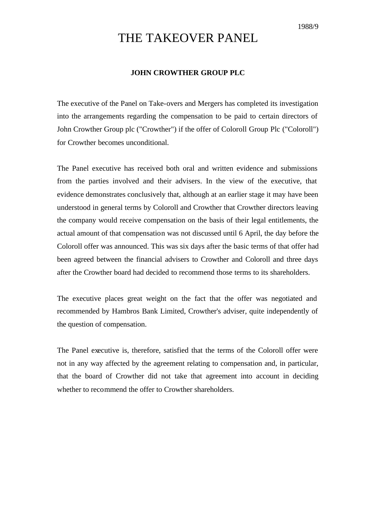## THE TAKEOVER PANEL

## **JOHN CROWTHER GROUP PLC**

The executive of the Panel on Take-overs and Mergers has completed its investigation into the arrangements regarding the compensation to be paid to certain directors of John Crowther Group plc ("Crowther") if the offer of Coloroll Group Plc ("Coloroll") for Crowther becomes unconditional.

The Panel executive has received both oral and written evidence and submissions from the parties involved and their advisers. In the view of the executive, that evidence demonstrates conclusively that, although at an earlier stage it may have been understood in general terms by Coloroll and Crowther that Crowther directors leaving the company would receive compensation on the basis of their legal entitlements, the actual amount of that compensation was not discussed until 6 April, the day before the Coloroll offer was announced. This was six days after the basic terms of that offer had been agreed between the financial advisers to Crowther and Coloroll and three days after the Crowther board had decided to recommend those terms to its shareholders.

The executive places great weight on the fact that the offer was negotiated and recommended by Hambros Bank Limited, Crowther's adviser, quite independently of the question of compensation.

The Panel executive is, therefore, satisfied that the terms of the Coloroll offer were not in any way affected by the agreement relating to compensation and, in particular, that the board of Crowther did not take that agreement into account in deciding whether to recommend the offer to Crowther shareholders.